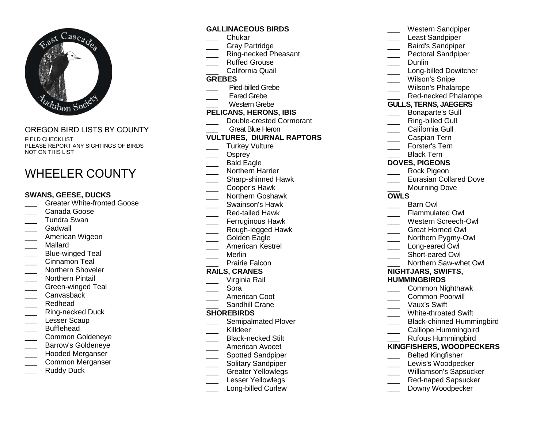

OREGON BIRD LISTS BY COUNTYFIELD CHECKLIST PLEASE REPORT ANY SIGHTINGS OF BIRDS NOT ON THIS LIST

# WHEELER COUNTY

#### **SWANS, GEESE, DUCKS**

- \_\_\_ Greater White-fronted Goose
- Canada Goose
- \_\_\_ Tundra Swan
- \_\_\_ Gadwall
- \_\_\_ American Wigeon
- \_\_\_ Mallard
- \_\_\_ Blue-winged Teal
- \_\_\_ Cinnamon Teal
- \_\_\_\_ Northern Shoveler
- \_\_\_ Northern Pintail
- \_\_\_ Green-winged Teal
- \_\_\_ Canvasback
- \_\_\_ Redhead
- \_\_\_ Ring-necked Duck
- Lesser Scaup
- \_\_\_ Bufflehead
- \_\_\_ Common Goldeneye
- \_\_\_ Barrow's Goldeneye
- \_\_\_ Hooded Merganser
- \_\_\_ Common Merganser
- Ruddy Duck

### **GALLINACEOUS BIRDS**

- \_\_\_ Chukar
- \_\_\_ Gray Partridge
- \_\_\_ Ring-necked Pheasant
- \_\_\_ Ruffed Grouse
- \_\_\_ California Quail

#### **GREBES**

- **\_\_\_** Pied-billed Grebe
- Eared Grebe
- \_\_\_ Western Grebe

#### **PELICANS, HERONS, IBIS**

- \_\_\_ Double-crested Cormorant
	- Great Blue Heron

### **VULTURES, DIURNAL RAPTORS**

- \_\_\_ Turkey Vulture
- \_\_\_ Osprey
- \_\_\_ Bald Eagle
- \_\_\_ Northern Harrier
- \_\_\_\_ Sharp-shinned Hawk
- \_\_\_ Cooper's Hawk
- \_\_\_ Northern Goshawk
- \_\_\_ Swainson's Hawk
- \_\_\_ Red-tailed Hawk
- \_\_\_ Ferruginous Hawk
- \_\_\_ Rough-legged Hawk
- \_\_\_ Golden Eagle
- \_\_\_ American Kestrel
- \_\_\_ Merlin

## \_\_\_ Prairie Falcon

#### **RAILS, CRANES**

- \_\_\_ Virginia Rail
- \_\_\_ Sora
- \_\_\_ American Coot
- \_\_\_ Sandhill Crane

#### **SHOREBIRDS**

- \_\_\_ Semipalmated Plover
- \_\_\_ Killdeer
- \_\_\_\_ Black-necked Stilt
- \_\_\_ American Avocet
- \_\_\_\_ Spotted Sandpiper
- \_\_\_ Solitary Sandpiper
- \_\_\_\_ Greater Yellowlegs
- Lesser Yellowlegs
- \_\_\_\_ Long-billed Curlew
- \_\_\_ Western Sandpiper
- Least Sandpiper
- \_\_\_ Baird's Sandpiper
- \_\_\_ Pectoral Sandpiper
- Dunlin
- \_\_\_\_ Long-billed Dowitcher
- Wilson's Snipe
- \_\_\_ Wilson's Phalarope
- \_\_\_ Red-necked Phalarope

#### **GULLS, TERNS, JAEGERS**

- \_\_\_ Bonaparte's Gull
- Ring-billed Gull
- California Gull
- Caspian Tern
- \_\_\_ Forster's Tern
- Black Tern

## **DOVES, PIGEONS**

- \_\_\_ Rock Pigeon
- **LERGIBLE** Eurasian Collared Dove
	- Mourning Dove

#### **OWLS**

- Barn Owl
- \_\_\_ Flammulated Owl
- \_\_\_ Western Screech-Owl
- \_\_\_ Great Horned Owl
- \_\_\_ Northern Pygmy-Owl
- Long-eared Owl
- \_\_\_ Short-eared Owl
- \_\_\_ Northern Saw-whet Owl

#### **NIGHTJARS, SWIFTS, HUMMINGBIRDS**

\_\_\_ Vaux's Swift \_\_\_\_ White-throated Swift

 \_\_\_ Common Nighthawk \_\_\_ Common Poorwill

\_\_\_ Black-chinned Hummingbird Calliope Hummingbird \_\_\_ Rufous Hummingbird **KINGFISHERS, WOODPECKERS**\_\_\_ Belted Kingfisher \_\_\_ Lewis's Woodpecker \_\_\_ Williamson's Sapsucker \_\_\_ Red-naped Sapsucker Downy Woodpecker